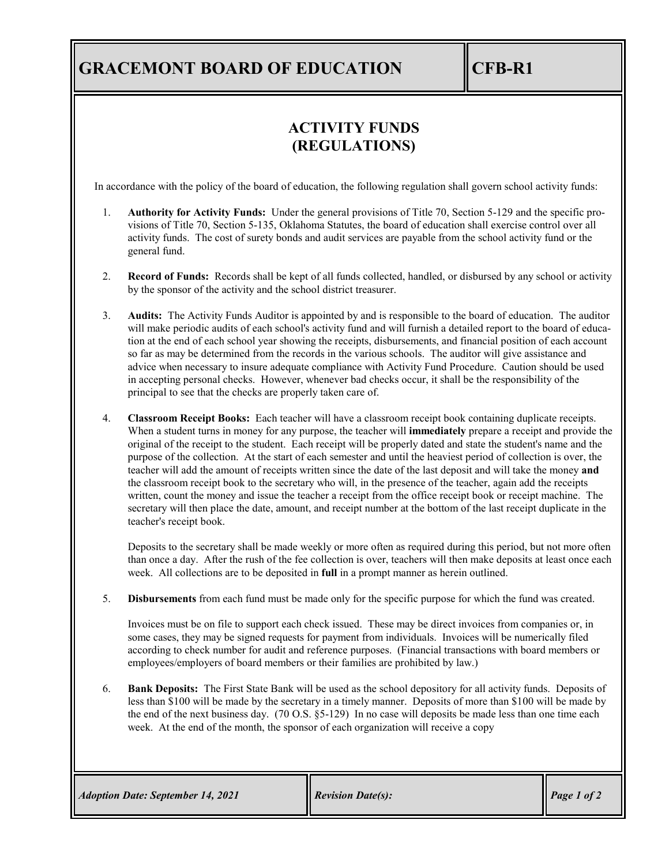# **GRACEMONT BOARD OF EDUCATION CFB-R1**

### **ACTIVITY FUNDS (REGULATIONS)**

In accordance with the policy of the board of education, the following regulation shall govern school activity funds:

- 1. **Authority for Activity Funds:** Under the general provisions of Title 70, Section 5-129 and the specific provisions of Title 70, Section 5-135, Oklahoma Statutes, the board of education shall exercise control over all activity funds. The cost of surety bonds and audit services are payable from the school activity fund or the general fund.
- 2. **Record of Funds:** Records shall be kept of all funds collected, handled, or disbursed by any school or activity by the sponsor of the activity and the school district treasurer.
- 3. **Audits:** The Activity Funds Auditor is appointed by and is responsible to the board of education. The auditor will make periodic audits of each school's activity fund and will furnish a detailed report to the board of education at the end of each school year showing the receipts, disbursements, and financial position of each account so far as may be determined from the records in the various schools. The auditor will give assistance and advice when necessary to insure adequate compliance with Activity Fund Procedure. Caution should be used in accepting personal checks. However, whenever bad checks occur, it shall be the responsibility of the principal to see that the checks are properly taken care of.
- 4. **Classroom Receipt Books:** Each teacher will have a classroom receipt book containing duplicate receipts. When a student turns in money for any purpose, the teacher will **immediately** prepare a receipt and provide the original of the receipt to the student. Each receipt will be properly dated and state the student's name and the purpose of the collection. At the start of each semester and until the heaviest period of collection is over, the teacher will add the amount of receipts written since the date of the last deposit and will take the money **and** the classroom receipt book to the secretary who will, in the presence of the teacher, again add the receipts written, count the money and issue the teacher a receipt from the office receipt book or receipt machine. The secretary will then place the date, amount, and receipt number at the bottom of the last receipt duplicate in the teacher's receipt book.

Deposits to the secretary shall be made weekly or more often as required during this period, but not more often than once a day. After the rush of the fee collection is over, teachers will then make deposits at least once each week. All collections are to be deposited in **full** in a prompt manner as herein outlined.

5. **Disbursements** from each fund must be made only for the specific purpose for which the fund was created.

Invoices must be on file to support each check issued. These may be direct invoices from companies or, in some cases, they may be signed requests for payment from individuals. Invoices will be numerically filed according to check number for audit and reference purposes. (Financial transactions with board members or employees/employers of board members or their families are prohibited by law.)

6. **Bank Deposits:** The First State Bank will be used as the school depository for all activity funds. Deposits of less than \$100 will be made by the secretary in a timely manner. Deposits of more than \$100 will be made by the end of the next business day. (70 O.S. §5-129) In no case will deposits be made less than one time each week. At the end of the month, the sponsor of each organization will receive a copy